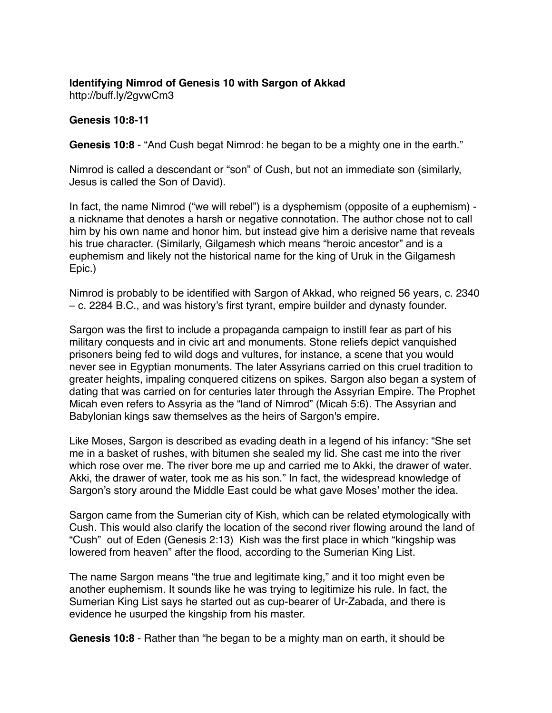# **Identifying Nimrod of Genesis 10 with Sargon of Akkad**

http://buff.ly/2gvwCm3

### **Genesis 10:8-11**

**Genesis 10:8** - "And Cush begat Nimrod: he began to be a mighty one in the earth."

Nimrod is called a descendant or "son" of Cush, but not an immediate son (similarly, Jesus is called the Son of David).

In fact, the name Nimrod ("we will rebel") is a dysphemism (opposite of a euphemism) a nickname that denotes a harsh or negative connotation. The author chose not to call him by his own name and honor him, but instead give him a derisive name that reveals his true character. (Similarly, Gilgamesh which means "heroic ancestor" and is a euphemism and likely not the historical name for the king of Uruk in the Gilgamesh Epic.)

Nimrod is probably to be identified with Sargon of Akkad, who reigned 56 years, c. 2340 – c. 2284 B.C., and was history's first tyrant, empire builder and dynasty founder.

Sargon was the first to include a propaganda campaign to instill fear as part of his military conquests and in civic art and monuments. Stone reliefs depict vanquished prisoners being fed to wild dogs and vultures, for instance, a scene that you would never see in Egyptian monuments. The later Assyrians carried on this cruel tradition to greater heights, impaling conquered citizens on spikes. Sargon also began a system of dating that was carried on for centuries later through the Assyrian Empire. The Prophet Micah even refers to Assyria as the "land of Nimrod" (Micah 5:6). The Assyrian and Babylonian kings saw themselves as the heirs of Sargon's empire.

Like Moses, Sargon is described as evading death in a legend of his infancy: "She set me in a basket of rushes, with bitumen she sealed my lid. She cast me into the river which rose over me. The river bore me up and carried me to Akki, the drawer of water. Akki, the drawer of water, took me as his son." In fact, the widespread knowledge of Sargon's story around the Middle East could be what gave Moses' mother the idea.

Sargon came from the Sumerian city of Kish, which can be related etymologically with Cush. This would also clarify the location of the second river flowing around the land of "Cush" out of Eden (Genesis 2:13) Kish was the first place in which "kingship was lowered from heaven" after the flood, according to the Sumerian King List.

The name Sargon means "the true and legitimate king," and it too might even be another euphemism. It sounds like he was trying to legitimize his rule. In fact, the Sumerian King List says he started out as cup-bearer of Ur-Zabada, and there is evidence he usurped the kingship from his master.

**Genesis 10:8** - Rather than "he began to be a mighty man on earth, it should be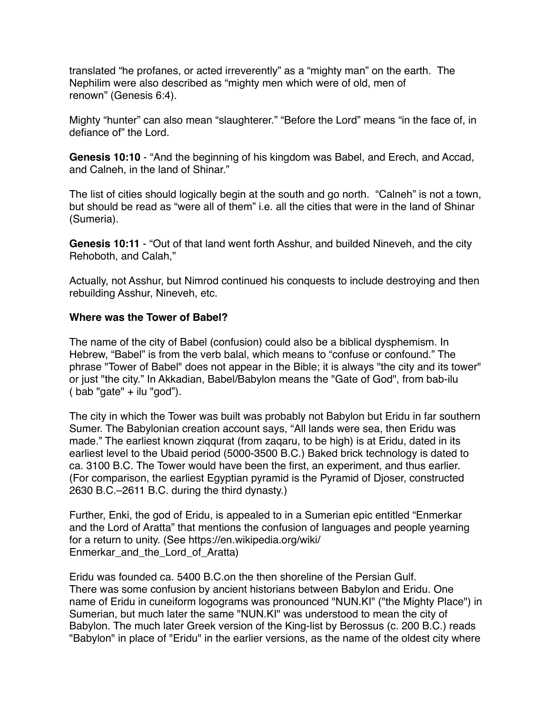translated "he profanes, or acted irreverently" as a "mighty man" on the earth. The Nephilim were also described as "mighty men which were of old, men of renown" (Genesis 6:4).

Mighty "hunter" can also mean "slaughterer." "Before the Lord" means "in the face of, in defiance of" the Lord.

**Genesis 10:10** - "And the beginning of his kingdom was Babel, and Erech, and Accad, and Calneh, in the land of Shinar."

The list of cities should logically begin at the south and go north. "Calneh" is not a town, but should be read as "were all of them" i.e. all the cities that were in the land of Shinar (Sumeria).

**Genesis 10:11** - "Out of that land went forth Asshur, and builded Nineveh, and the city Rehoboth, and Calah,"

Actually, not Asshur, but Nimrod continued his conquests to include destroying and then rebuilding Asshur, Nineveh, etc.

#### **Where was the Tower of Babel?**

The name of the city of Babel (confusion) could also be a biblical dysphemism. In Hebrew, "Babel" is from the verb balal, which means to "confuse or confound." The phrase "Tower of Babel" does not appear in the Bible; it is always "the city and its tower" or just "the city." In Akkadian, Babel/Babylon means the "Gate of God", from bab-ilu  $($  bab "gate" + ilu "god").

The city in which the Tower was built was probably not Babylon but Eridu in far southern Sumer. The Babylonian creation account says, "All lands were sea, then Eridu was made." The earliest known ziqqurat (from zaqaru, to be high) is at Eridu, dated in its earliest level to the Ubaid period (5000-3500 B.C.) Baked brick technology is dated to ca. 3100 B.C. The Tower would have been the first, an experiment, and thus earlier. (For comparison, the earliest Egyptian pyramid is the Pyramid of Djoser, constructed 2630 B.C.–2611 B.C. during the third dynasty.)

Further, Enki, the god of Eridu, is appealed to in a Sumerian epic entitled "Enmerkar and the Lord of Aratta" that mentions the confusion of languages and people yearning for a return to unity. (See [https://en.wikipedia.org/wiki/](https://en.wikipedia.org/wiki/Enmerkar_and_the_Lord_of_Aratta) [Enmerkar\\_and\\_the\\_Lord\\_of\\_Aratta](https://en.wikipedia.org/wiki/Enmerkar_and_the_Lord_of_Aratta))

Eridu was founded ca. 5400 B.C.on the then shoreline of the Persian Gulf. There was some confusion by ancient historians between Babylon and Eridu. One name of Eridu in cuneiform logograms was pronounced "NUN.KI" ("the Mighty Place") in Sumerian, but much later the same "NUN.KI" was understood to mean the city of Babylon. The much later Greek version of the King-list by Berossus (c. 200 B.C.) reads "Babylon" in place of "Eridu" in the earlier versions, as the name of the oldest city where